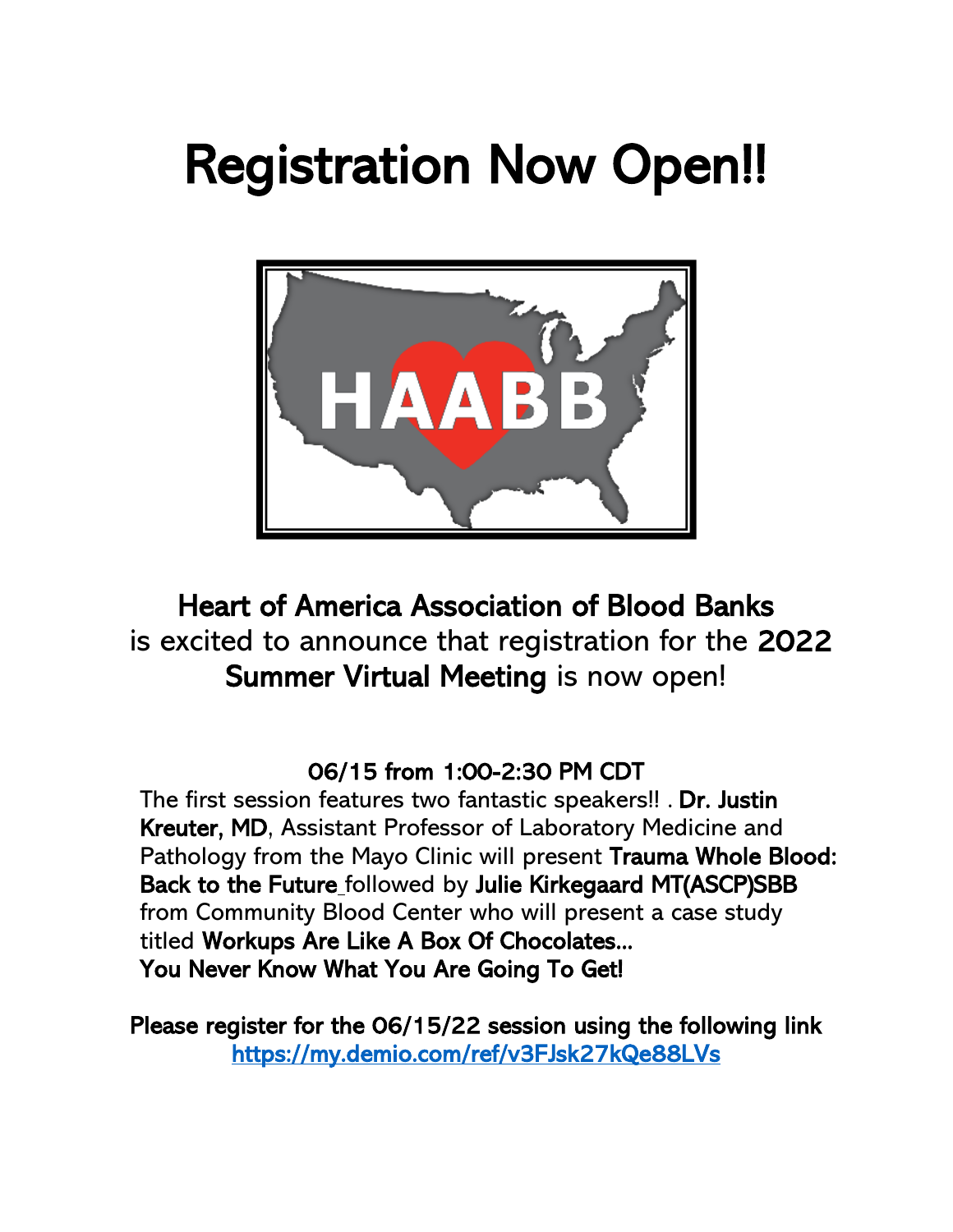# Registration Now Open!!



## Heart of America Association of Blood Banks is excited to announce that registration for the 2022 Summer Virtual Meeting is now open!

### 06/15 from 1:00-2:30 PM CDT

The first session features two fantastic speakers!! . Dr. Justin Kreuter, MD, Assistant Professor of Laboratory Medicine and Pathology from the Mayo Clinic will present Trauma Whole Blood: Back to the Future followed by Julie Kirkegaard MT(ASCP)SBB from Community Blood Center who will present a case study titled Workups Are Like A Box Of Chocolates... You Never Know What You Are Going To Get!

Please register for the 06/15/22 session using the following link <https://my.demio.com/ref/v3FJsk27kQe88LVs>